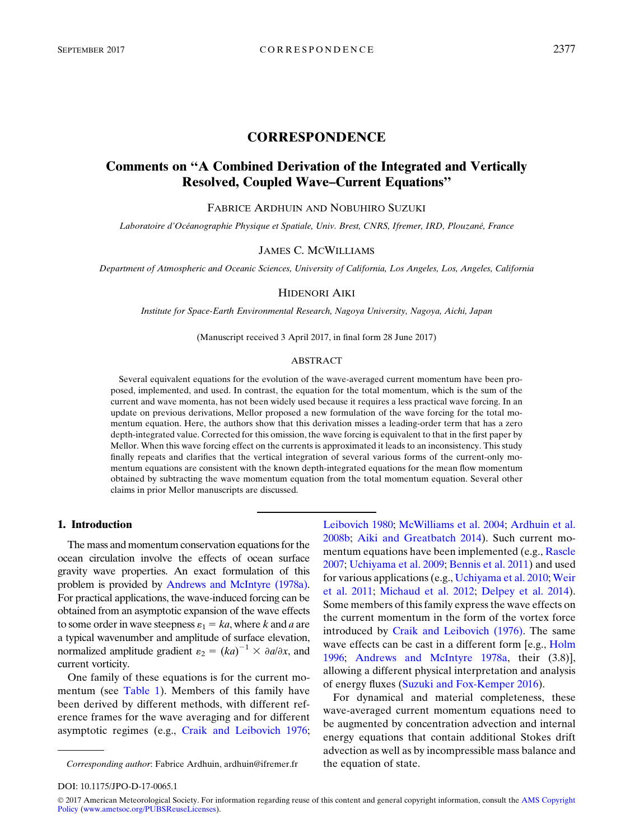# CORRESPONDENCE

# Comments on ''A Combined Derivation of the Integrated and Vertically Resolved, Coupled Wave–Current Equations''

FABRICE ARDHUIN AND NOBUHIRO SUZUKI

Laboratoire d'Océanographie Physique et Spatiale, Univ. Brest, CNRS, Ifremer, IRD, Plouzané, France

# JAMES C. MCWILLIAMS

Department of Atmospheric and Oceanic Sciences, University of California, Los Angeles, Los, Angeles, California

### HIDENORI AIKI

Institute for Space-Earth Environmental Research, Nagoya University, Nagoya, Aichi, Japan

(Manuscript received 3 April 2017, in final form 28 June 2017)

#### ABSTRACT

Several equivalent equations for the evolution of the wave-averaged current momentum have been proposed, implemented, and used. In contrast, the equation for the total momentum, which is the sum of the current and wave momenta, has not been widely used because it requires a less practical wave forcing. In an update on previous derivations, Mellor proposed a new formulation of the wave forcing for the total momentum equation. Here, the authors show that this derivation misses a leading-order term that has a zero depth-integrated value. Corrected for this omission, the wave forcing is equivalent to that in the first paper by Mellor. When this wave forcing effect on the currents is approximated it leads to an inconsistency. This study finally repeats and clarifies that the vertical integration of several various forms of the current-only momentum equations are consistent with the known depth-integrated equations for the mean flow momentum obtained by subtracting the wave momentum equation from the total momentum equation. Several other claims in prior Mellor manuscripts are discussed.

### 1. Introduction

The mass and momentum conservation equations for the ocean circulation involve the effects of ocean surface gravity wave properties. An exact formulation of this problem is provided by [Andrews and McIntyre \(1978a\).](#page-7-0) For practical applications, the wave-induced forcing can be obtained from an asymptotic expansion of the wave effects to some order in wave steepness  $\varepsilon_1 = ka$ , where k and a are a typical wavenumber and amplitude of surface elevation, normalized amplitude gradient  $\varepsilon_2 = (ka)^{-1} \times \partial a/\partial x$ , and current vorticity.

One family of these equations is for the current momentum (see [Table 1](#page-1-0)). Members of this family have been derived by different methods, with different reference frames for the wave averaging and for different asymptotic regimes (e.g., [Craik and Leibovich 1976;](#page-7-1)

[Leibovich 1980;](#page-7-2) [McWilliams et al. 2004](#page-7-3); [Ardhuin et al.](#page-7-4) [2008b](#page-7-4); [Aiki and Greatbatch 2014](#page-7-5)). Such current mo-mentum equations have been implemented (e.g., [Rascle](#page-7-6) [2007;](#page-7-6) [Uchiyama et al. 2009;](#page-8-0) [Bennis et al. 2011\)](#page-7-7) and used for various applications (e.g., [Uchiyama et al. 2010](#page-8-1); [Weir](#page-8-2) [et al. 2011;](#page-8-2) [Michaud et al. 2012;](#page-7-8) [Delpey et al. 2014](#page-7-9)). Some members of this family express the wave effects on the current momentum in the form of the vortex force introduced by [Craik and Leibovich \(1976\).](#page-7-1) The same wave effects can be cast in a different form [e.g., [Holm](#page-7-10)] [1996;](#page-7-10) [Andrews and McIntyre 1978a,](#page-7-0) their (3.8)], allowing a different physical interpretation and analysis of energy fluxes [\(Suzuki and Fox-Kemper 2016\)](#page-8-3).

For dynamical and material completeness, these wave-averaged current momentum equations need to be augmented by concentration advection and internal energy equations that contain additional Stokes drift advection as well as by incompressible mass balance and

© 2017 American Meteorological Society. For information regarding reuse of this content and general copyright information, consult the [AMS Copyright](http://www.ametsoc.org/PUBSReuseLicenses)<br>[Policy](http://www.ametsoc.org/PUBSReuseLicenses) [\(www.ametsoc.org/PUBSReuseLicenses](http://www.ametsoc.org/PUBSReuseLicenses)).

Corresponding author: Fabrice Ardhuin, [ardhuin@ifremer.fr](mailto:ardhuin@ifremer.fr) the equation of state.

DOI: 10.1175/JPO-D-17-0065.1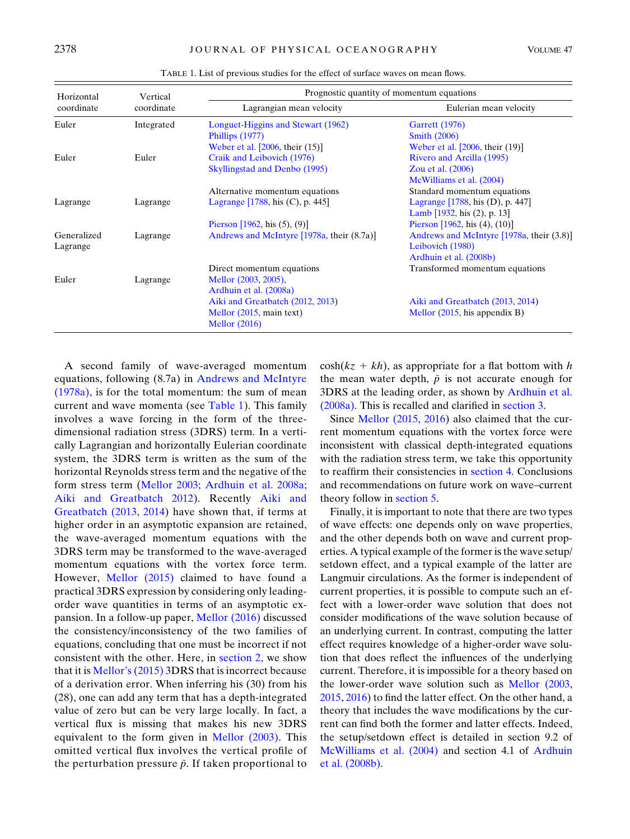<span id="page-1-0"></span>

| Horizontal<br>coordinate | Vertical<br>coordinate | Prognostic quantity of momentum equations   |                                           |
|--------------------------|------------------------|---------------------------------------------|-------------------------------------------|
|                          |                        | Lagrangian mean velocity                    | Eulerian mean velocity                    |
| Euler                    | Integrated             | Longuet-Higgins and Stewart (1962)          | <b>Garrett</b> (1976)                     |
|                          |                        | Phillips (1977)                             | <b>Smith (2006)</b>                       |
|                          |                        | Weber et al. $[2006,$ their $(15)]$         | Weber et al. [2006, their (19)]           |
| Euler                    | Euler                  | Craik and Leibovich (1976)                  | Rivero and Arcilla (1995)                 |
|                          |                        | Skyllingstad and Denbo (1995)               | Zou et al. (2006)                         |
|                          |                        |                                             | McWilliams et al. (2004)                  |
|                          |                        | Alternative momentum equations              | Standard momentum equations               |
| Lagrange                 | Lagrange               | Lagrange [1788, his (C), p. 445]            | Lagrange [1788, his (D), p. 447]          |
|                          |                        |                                             | Lamb $[1932, his (2), p. 13]$             |
|                          |                        | Pierson [1962, his $(5)$ , $(9)$ ]          | Pierson $[1962, his (4), (10)]$           |
| Generalized              | Lagrange               | Andrews and McIntyre [1978a, their (8.7a)]  | Andrews and McIntyre [1978a, their (3.8)] |
| Lagrange                 |                        |                                             | Leibovich (1980)                          |
|                          |                        |                                             | Ardhuin et al. (2008b)                    |
|                          |                        | Direct momentum equations                   | Transformed momentum equations            |
| Euler                    | Lagrange               | Mellor (2003, 2005),                        |                                           |
|                          |                        | Ardhuin et al. (2008a)                      |                                           |
|                          |                        | Aiki and Greatbatch (2012, 2013)            | Aiki and Greatbatch (2013, 2014)          |
|                          |                        | Mellor (2015, main text)<br>Mellor $(2016)$ | Mellor $(2015, his$ appendix B)           |

TABLE 1. List of previous studies for the effect of surface waves on mean flows.

A second family of wave-averaged momentum equations, following (8.7a) in [Andrews and McIntyre](#page-7-0) [\(1978a\),](#page-7-0) is for the total momentum: the sum of mean current and wave momenta (see [Table 1\)](#page-1-0). This family involves a wave forcing in the form of the threedimensional radiation stress (3DRS) term. In a vertically Lagrangian and horizontally Eulerian coordinate system, the 3DRS term is written as the sum of the horizontal Reynolds stress term and the negative of the form stress term ([Mellor 2003](#page-7-11); [Ardhuin et al. 2008a;](#page-7-12) [Aiki and Greatbatch 2012](#page-7-13)). Recently [Aiki and](#page-7-14) [Greatbatch \(2013](#page-7-14), [2014](#page-7-5)) have shown that, if terms at higher order in an asymptotic expansion are retained, the wave-averaged momentum equations with the 3DRS term may be transformed to the wave-averaged momentum equations with the vortex force term. However, [Mellor \(2015\)](#page-7-15) claimed to have found a practical 3DRS expression by considering only leadingorder wave quantities in terms of an asymptotic expansion. In a follow-up paper, [Mellor \(2016\)](#page-7-16) discussed the consistency/inconsistency of the two families of equations, concluding that one must be incorrect if not consistent with the other. Here, in [section 2,](#page-2-0) we show that it is [Mellor's \(2015\)](#page-7-15) 3DRS that is incorrect because of a derivation error. When inferring his (30) from his (28), one can add any term that has a depth-integrated value of zero but can be very large locally. In fact, a vertical flux is missing that makes his new 3DRS equivalent to the form given in [Mellor \(2003\).](#page-7-11) This omitted vertical flux involves the vertical profile of the perturbation pressure  $\tilde{p}$ . If taken proportional to

 $cosh(kz + kh)$ , as appropriate for a flat bottom with h the mean water depth,  $\tilde{p}$  is not accurate enough for 3DRS at the leading order, as shown by [Ardhuin et al.](#page-7-12) [\(2008a\)](#page-7-12). This is recalled and clarified in [section 3](#page-3-0).

Since [Mellor \(2015](#page-7-15), [2016\)](#page-7-16) also claimed that the current momentum equations with the vortex force were inconsistent with classical depth-integrated equations with the radiation stress term, we take this opportunity to reaffirm their consistencies in [section 4](#page-4-0). Conclusions and recommendations on future work on wave–current theory follow in [section 5.](#page-6-0)

Finally, it is important to note that there are two types of wave effects: one depends only on wave properties, and the other depends both on wave and current properties. A typical example of the former is the wave setup/ setdown effect, and a typical example of the latter are Langmuir circulations. As the former is independent of current properties, it is possible to compute such an effect with a lower-order wave solution that does not consider modifications of the wave solution because of an underlying current. In contrast, computing the latter effect requires knowledge of a higher-order wave solution that does reflect the influences of the underlying current. Therefore, it is impossible for a theory based on the lower-order wave solution such as [Mellor \(2003,](#page-7-11) [2015,](#page-7-15) [2016](#page-7-16)) to find the latter effect. On the other hand, a theory that includes the wave modifications by the current can find both the former and latter effects. Indeed, the setup/setdown effect is detailed in section 9.2 of [McWilliams et al. \(2004\)](#page-7-3) and section 4.1 of [Ardhuin](#page-7-4) [et al. \(2008b\)](#page-7-4).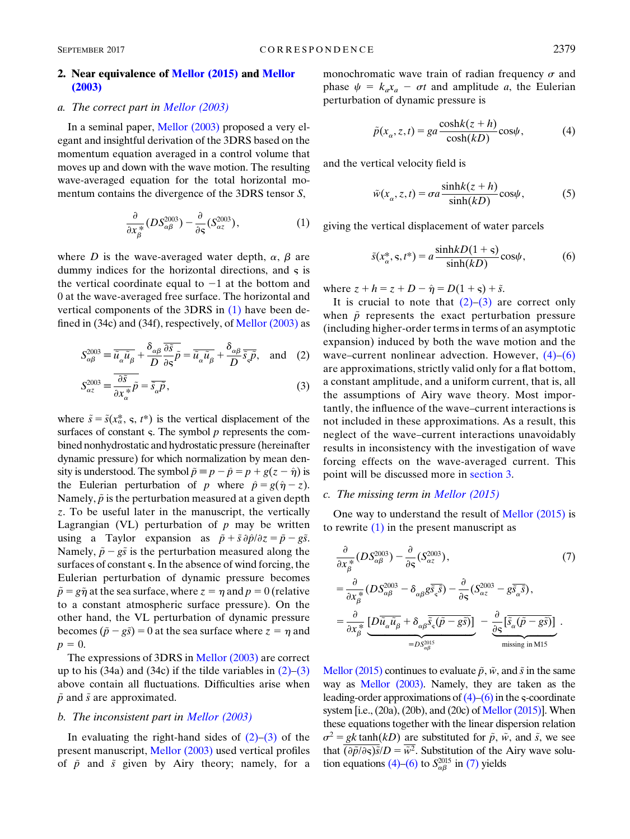## <span id="page-2-0"></span>2. Near equivalence of [Mellor \(2015\)](#page-7-15) and [Mellor](#page-7-11) [\(2003\)](#page-7-11)

## a. The correct part in [Mellor \(2003\)](#page-7-11)

In a seminal paper, [Mellor \(2003\)](#page-7-11) proposed a very elegant and insightful derivation of the 3DRS based on the momentum equation averaged in a control volume that moves up and down with the wave motion. The resulting wave-averaged equation for the total horizontal momentum contains the divergence of the 3DRS tensor S,

$$
\frac{\partial}{\partial x_{\beta}^*} (DS_{\alpha\beta}^{2003}) - \frac{\partial}{\partial s} (S_{\alpha z}^{2003}), \tag{1}
$$

<span id="page-2-1"></span>where D is the wave-averaged water depth,  $\alpha$ ,  $\beta$  are dummy indices for the horizontal directions, and  $\varsigma$  is the vertical coordinate equal to  $-1$  at the bottom and 0 at the wave-averaged free surface. The horizontal and vertical components of the 3DRS in [\(1\)](#page-2-1) have been defined in  $(34c)$  and  $(34f)$ , respectively, of Mellor  $(2003)$  as

<span id="page-2-2"></span>
$$
S_{\alpha\beta}^{2003} \equiv \overline{\tilde{u}_{\alpha}\tilde{u}_{\beta}} + \frac{\delta_{\alpha\beta}}{D} \frac{\overline{\partial \tilde{s}}}{\partial \varsigma} \tilde{p} = \overline{\tilde{u}_{\alpha}\tilde{u}_{\beta}} + \frac{\delta_{\alpha\beta}}{D} \overline{\tilde{s}_{\varsigma}\tilde{p}}, \text{ and } (2)
$$

<span id="page-2-3"></span>
$$
S_{\alpha z}^{2003} = \frac{\partial \tilde{s}}{\partial x_{\alpha}^*} \tilde{p} = \overline{\tilde{s}_{\alpha} \tilde{p}},
$$
\n(3)

where  $\tilde{s} = \tilde{s}(x_{\alpha}^*, s, t^*)$  is the vertical displacement of the surfaces of constant  $\varsigma$ . The symbol  $p$  represents the combined nonhydrostatic and hydrostatic pressure (hereinafter dynamic pressure) for which normalization by mean density is understood. The symbol  $\tilde{p} = p - \hat{p} = p + g(z - \hat{\eta})$  is the Eulerian perturbation of p where  $\hat{p} = g(\hat{\eta} - z)$ . Namely,  $\tilde{p}$  is the perturbation measured at a given depth z. To be useful later in the manuscript, the vertically Lagrangian (VL) perturbation of  $p$  may be written using a Taylor expansion as  $\tilde{p} + \tilde{s} \partial \hat{p}/\partial z = \tilde{p} - g\tilde{s}$ . Namely,  $\tilde{p}-g\tilde{s}$  is the perturbation measured along the surfaces of constant  $\varsigma$ . In the absence of wind forcing, the Eulerian perturbation of dynamic pressure becomes  $\tilde{p} = g\tilde{\eta}$  at the sea surface, where  $z = \eta$  and  $p = 0$  (relative to a constant atmospheric surface pressure). On the other hand, the VL perturbation of dynamic pressure becomes  $(\tilde{p}-g\tilde{s}) = 0$  at the sea surface where  $z = \eta$  and  $p = 0.$ 

The expressions of 3DRS in [Mellor \(2003\)](#page-7-11) are correct up to his  $(34a)$  and  $(34c)$  if the tilde variables in  $(2)-(3)$  $(2)-(3)$  $(2)-(3)$ above contain all fluctuations. Difficulties arise when  $\tilde{p}$  and  $\tilde{s}$  are approximated.

#### b. The inconsistent part in [Mellor \(2003\)](#page-7-11)

In evaluating the right-hand sides of  $(2)-(3)$  $(2)-(3)$  of the present manuscript, [Mellor \(2003\)](#page-7-11) used vertical profiles of  $\tilde{p}$  and  $\tilde{s}$  given by Airy theory; namely, for a <span id="page-2-4"></span>monochromatic wave train of radian frequency  $\sigma$  and phase  $\psi = k_a x_a - \sigma t$  and amplitude a, the Eulerian perturbation of dynamic pressure is

$$
\tilde{p}(x_{\alpha}, z, t) = ga \frac{\cosh k(z + h)}{\cosh(kD)} \cos \psi,\tag{4}
$$

and the vertical velocity field is

$$
\tilde{w}(x_{\alpha}, z, t) = \sigma a \frac{\sinh k(z + h)}{\sinh(kD)} \cos \psi, \tag{5}
$$

<span id="page-2-5"></span>giving the vertical displacement of water parcels

$$
\tilde{s}(x_{\alpha}^*, \mathbf{s}, t^*) = a \frac{\sinh kD(1+\mathbf{s})}{\sinh(kD)} \cos \psi, \tag{6}
$$

where  $z + h = z + D - \hat{\eta} = D(1 + \varsigma) + \tilde{s}$ .

It is crucial to note that  $(2)-(3)$  $(2)-(3)$  are correct only when  $\tilde{p}$  represents the exact perturbation pressure (including higher-order terms in terms of an asymptotic expansion) induced by both the wave motion and the wave–current nonlinear advection. However,  $(4)$ – $(6)$ are approximations, strictly valid only for a flat bottom, a constant amplitude, and a uniform current, that is, all the assumptions of Airy wave theory. Most importantly, the influence of the wave–current interactions is not included in these approximations. As a result, this neglect of the wave–current interactions unavoidably results in inconsistency with the investigation of wave forcing effects on the wave-averaged current. This point will be discussed more in [section 3](#page-3-0).

#### c. The missing term in [Mellor \(2015\)](#page-7-15)

One way to understand the result of [Mellor \(2015\)](#page-7-15) is to rewrite  $(1)$  in the present manuscript as

<span id="page-2-6"></span>
$$
\frac{\partial}{\partial x_{\beta}^{*}}(DS_{\alpha\beta}^{2003}) - \frac{\partial}{\partial s}(S_{\alpha z}^{2003}),
$$
\n
$$
= \frac{\partial}{\partial x_{\beta}^{*}}(DS_{\alpha\beta}^{2003} - \delta_{\alpha\beta}g\overline{s_{\varsigma}\widetilde{s}}) - \frac{\partial}{\partial s}(S_{\alpha z}^{2003} - g\overline{s_{\alpha}\widetilde{s}}),
$$
\n
$$
= \frac{\partial}{\partial x_{\beta}^{*}}\underbrace{[D\overline{\widetilde{u}_{\alpha}\widetilde{u}_{\beta}} + \delta_{\alpha\beta}\overline{\widetilde{s}_{\varsigma}(\widetilde{p} - g\widetilde{s})}]}_{=DS_{\alpha\beta}^{2005}} - \underbrace{\frac{\partial}{\partial s}[\overline{\widetilde{s}_{\alpha}(\widetilde{p} - g\widetilde{s})}]}_{\text{missing in M15}}.
$$
\n(7)

[Mellor \(2015\)](#page-7-15) continues to evaluate  $\tilde{p}$ ,  $\tilde{w}$ , and  $\tilde{s}$  in the same way as [Mellor \(2003\).](#page-7-11) Namely, they are taken as the leading-order approximations of  $(4)$ – $(6)$  in the s-coordinate system [i.e., (20a), (20b), and (20c) of [Mellor \(2015\)](#page-7-15)]. When these equations together with the linear dispersion relation  $\sigma^2 = gk \tanh(kD)$  are substituted for  $\tilde{p}$ ,  $\tilde{w}$ , and  $\tilde{s}$ , we see that  $(\partial \tilde{p}/\partial \varsigma)\tilde{s}/D = \tilde{w}^2$ . Substitution of the Airy wave solu-tion equations [\(4\)](#page-2-4)[–\(6\)](#page-2-5) to  $S_{\alpha\beta}^{2015}$  in [\(7\)](#page-2-6) yields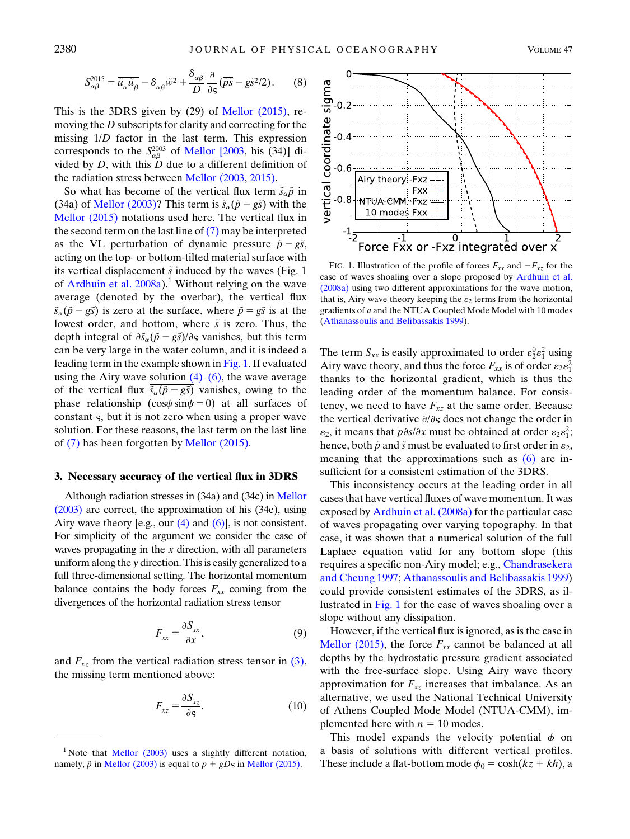$$
S_{\alpha\beta}^{2015} = \overline{\tilde{u}_{\alpha}\tilde{u}_{\beta}} - \delta_{\alpha\beta}\overline{\tilde{w}^2} + \frac{\delta_{\alpha\beta}}{D} \frac{\partial}{\partial s} (\overline{\tilde{\rho}s} - g\overline{\tilde{s}^2}/2). \tag{8}
$$

This is the 3DRS given by (29) of [Mellor \(2015\)](#page-7-15), removing the D subscripts for clarity and correcting for the missing 1/D factor in the last term. This expression corresponds to the  $S_{\alpha\beta}^{2003}$  of [Mellor \[2003,](#page-7-11) his (34)] divided by  $D$ , with this  $D$  due to a different definition of the radiation stress between [Mellor \(2003](#page-7-11), [2015\).](#page-7-15)

So what has become of the vertical flux term  $\tilde{s}_{\alpha}\tilde{p}$  in (34a) of [Mellor \(2003\)?](#page-7-11) This term is  $\tilde{s}_{\alpha}(\tilde{p}-g\tilde{s})$  with the [Mellor \(2015\)](#page-7-15) notations used here. The vertical flux in the second term on the last line of  $(7)$  may be interpreted as the VL perturbation of dynamic pressure  $\tilde{p}-g\tilde{s}$ , acting on the top- or bottom-tilted material surface with its vertical displacement  $\tilde{s}$  induced by the waves (Fig. 1 of Ardhuin et al.  $2008a$ <sup>1</sup>. Without relying on the wave average (denoted by the overbar), the vertical flux  $\tilde{s}_{\alpha}(\tilde{p}-g\tilde{s})$  is zero at the surface, where  $\tilde{p}=g\tilde{s}$  is at the lowest order, and bottom, where  $\tilde{s}$  is zero. Thus, the depth integral of  $\frac{\partial \tilde{s}_{\alpha}(\tilde{p}-g\tilde{s})}{\partial \varsigma}$  vanishes, but this term can be very large in the water column, and it is indeed a leading term in the example shown in [Fig. 1](#page-3-1). If evaluated using the Airy wave solution  $(4)$ – $(6)$ , the wave average of the vertical flux  $\tilde{s}_{\alpha}(\tilde{p}-g\tilde{s})$  vanishes, owing to the phase relationship  $(\overline{\cos\psi \sin\psi} = 0)$  at all surfaces of constant §, but it is not zero when using a proper wave solution. For these reasons, the last term on the last line of [\(7\)](#page-2-6) has been forgotten by [Mellor \(2015\).](#page-7-15)

### <span id="page-3-0"></span>3. Necessary accuracy of the vertical flux in 3DRS

Although radiation stresses in (34a) and (34c) in [Mellor](#page-7-11) [\(2003\)](#page-7-11) are correct, the approximation of his (34e), using Airy wave theory [e.g., our  $(4)$  and  $(6)$ ], is not consistent. For simplicity of the argument we consider the case of waves propagating in the  $x$  direction, with all parameters uniform along the y direction. This is easily generalized to a full three-dimensional setting. The horizontal momentum balance contains the body forces  $F_{xx}$  coming from the divergences of the horizontal radiation stress tensor

$$
F_{xx} = \frac{\partial S_{xx}}{\partial x},\tag{9}
$$

and  $F_{xz}$  from the vertical radiation stress tensor in [\(3\),](#page-2-3) the missing term mentioned above:

$$
F_{xz} = \frac{\partial S_{xz}}{\partial \varsigma}.
$$
 (10)

<span id="page-3-1"></span>

FIG. 1. Illustration of the profile of forces  $F_{xx}$  and  $-F_{xz}$  for the case of waves shoaling over a slope proposed by [Ardhuin et al.](#page-7-12) [\(2008a\)](#page-7-12) using two different approximations for the wave motion, that is, Airy wave theory keeping the  $\varepsilon_2$  terms from the horizontal gradients of a and the NTUA Coupled Mode Model with 10 modes [\(Athanassoulis and Belibassakis 1999](#page-7-27)).

The term  $S_{xx}$  is easily approximated to order  $\varepsilon_2^0 \varepsilon_1^2$  using Airy wave theory, and thus the force  $F_{xx}$  is of order  $\varepsilon_2 \varepsilon_1^2$ thanks to the horizontal gradient, which is thus the leading order of the momentum balance. For consistency, we need to have  $F_{xz}$  at the same order. Because the vertical derivative  $\partial/\partial s$  does not change the order in  $\varepsilon_2$ , it means that  $\overline{p \partial s / \partial x}$  must be obtained at order  $\varepsilon_2 \varepsilon_1^2$ ; hence, both  $\tilde{p}$  and  $\tilde{s}$  must be evaluated to first order in  $\varepsilon_2$ , meaning that the approximations such as [\(6\)](#page-2-5) are insufficient for a consistent estimation of the 3DRS.

This inconsistency occurs at the leading order in all cases that have vertical fluxes of wave momentum. It was exposed by [Ardhuin et al. \(2008a\)](#page-7-12) for the particular case of waves propagating over varying topography. In that case, it was shown that a numerical solution of the full Laplace equation valid for any bottom slope (this requires a specific non-Airy model; e.g., [Chandrasekera](#page-7-26) [and Cheung 1997](#page-7-26); [Athanassoulis and Belibassakis 1999\)](#page-7-27) could provide consistent estimates of the 3DRS, as illustrated in [Fig. 1](#page-3-1) for the case of waves shoaling over a slope without any dissipation.

However, if the vertical flux is ignored, as is the case in [Mellor \(2015\),](#page-7-15) the force  $F_{xx}$  cannot be balanced at all depths by the hydrostatic pressure gradient associated with the free-surface slope. Using Airy wave theory approximation for  $F_{xz}$  increases that imbalance. As an alternative, we used the National Technical University of Athens Coupled Mode Model (NTUA-CMM), implemented here with  $n = 10$  modes.

This model expands the velocity potential  $\phi$  on a basis of solutions with different vertical profiles. These include a flat-bottom mode  $\phi_0 = \cosh(kz + kh)$ , a

<sup>&</sup>lt;sup>1</sup> Note that **Mellor** (2003) uses a slightly different notation, namely,  $\tilde{p}$  in [Mellor \(2003\)](#page-7-11) is equal to  $p + gD\varsigma$  in [Mellor \(2015\)](#page-7-15).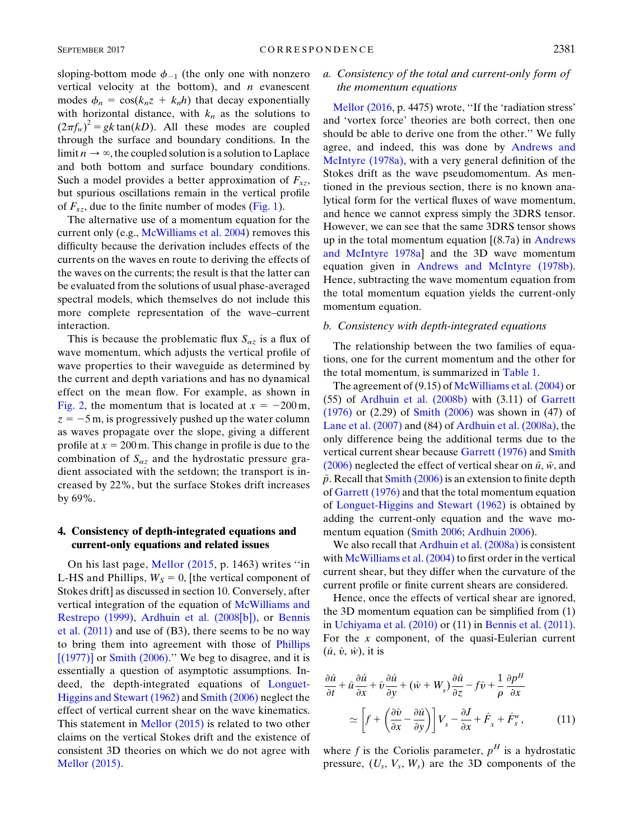sloping-bottom mode  $\phi_{-1}$  (the only one with nonzero vertical velocity at the bottom), and  $n$  evanescent modes  $\phi_n = \cos(k_n z + k_n h)$  that decay exponentially with horizontal distance, with  $k_n$  as the solutions to  $(2\pi f_w)^2 = gk \tan(kD)$ . All these modes are coupled through the surface and boundary conditions. In the limit  $n \to \infty$ , the coupled solution is a solution to Laplace and both bottom and surface boundary conditions. Such a model provides a better approximation of  $F_{xz}$ , but spurious oscillations remain in the vertical profile of  $F_{xz}$ , due to the finite number of modes ([Fig. 1\)](#page-3-1).

The alternative use of a momentum equation for the current only (e.g., [McWilliams et al. 2004\)](#page-7-3) removes this difficulty because the derivation includes effects of the currents on the waves en route to deriving the effects of the waves on the currents; the result is that the latter can be evaluated from the solutions of usual phase-averaged spectral models, which themselves do not include this more complete representation of the wave–current interaction.

This is because the problematic flux  $S_{\alpha z}$  is a flux of wave momentum, which adjusts the vertical profile of wave properties to their waveguide as determined by the current and depth variations and has no dynamical effect on the mean flow. For example, as shown in [Fig. 2,](#page-5-0) the momentum that is located at  $x = -200$  m,  $z = -5$  m, is progressively pushed up the water column as waves propagate over the slope, giving a different profile at  $x = 200$  m. This change in profile is due to the combination of  $S_{\alpha z}$  and the hydrostatic pressure gradient associated with the setdown; the transport is increased by 22%, but the surface Stokes drift increases by 69%.

# <span id="page-4-0"></span>4. Consistency of depth-integrated equations and current-only equations and related issues

On his last page, [Mellor \(2015,](#page-7-15) p. 1463) writes ''in L-HS and Phillips,  $W<sub>S</sub> = 0$ , [the vertical component of Stokes drift] as discussed in section 10. Conversely, after vertical integration of the equation of [McWilliams and](#page-7-28) [Restrepo \(1999\)](#page-7-28), [Ardhuin et al. \(2008\[b\]\),](#page-7-4) or [Bennis](#page-7-7) [et al. \(2011\)](#page-7-7) and use of (B3), there seems to be no way to bring them into agreement with those of [Phillips](#page-7-19)  $[(1977)]$  or Smith  $(2006)$ ." We beg to disagree, and it is essentially a question of asymptotic assumptions. Indeed, the depth-integrated equations of [Longuet-](#page-7-17)[Higgins and Stewart \(1962\)](#page-7-17) and [Smith \(2006\)](#page-8-4) neglect the effect of vertical current shear on the wave kinematics. This statement in [Mellor \(2015\)](#page-7-15) is related to two other claims on the vertical Stokes drift and the existence of consistent 3D theories on which we do not agree with [Mellor \(2015\).](#page-7-15)

# a. Consistency of the total and current-only form of the momentum equations

[Mellor \(2016,](#page-7-16) p. 4475) wrote, ''If the 'radiation stress' and 'vortex force' theories are both correct, then one should be able to derive one from the other.'' We fully agree, and indeed, this was done by [Andrews and](#page-7-0) [McIntyre \(1978a\)](#page-7-0), with a very general definition of the Stokes drift as the wave pseudomomentum. As mentioned in the previous section, there is no known analytical form for the vertical fluxes of wave momentum, and hence we cannot express simply the 3DRS tensor. However, we can see that the same 3DRS tensor shows up in the total momentum equation  $(8.7a)$  in [Andrews](#page-7-0) [and McIntyre 1978a\]](#page-7-0) and the 3D wave momentum equation given in [Andrews and McIntyre \(1978b\).](#page-7-29) Hence, subtracting the wave momentum equation from the total momentum equation yields the current-only momentum equation.

#### b. Consistency with depth-integrated equations

The relationship between the two families of equations, one for the current momentum and the other for the total momentum, is summarized in [Table 1](#page-1-0).

The agreement of (9.15) of [McWilliams et al. \(2004\)](#page-7-3) or (55) of [Ardhuin et al. \(2008b\)](#page-7-4) with (3.11) of [Garrett](#page-7-18) [\(1976\)](#page-7-18) or (2.29) of [Smith \(2006\)](#page-8-4) was shown in (47) of [Lane et al. \(2007\)](#page-7-30) and (84) of [Ardhuin et al. \(2008a\)](#page-7-12), the only difference being the additional terms due to the vertical current shear because [Garrett \(1976\)](#page-7-18) and [Smith](#page-8-4) [\(2006\)](#page-8-4) neglected the effect of vertical shear on  $\tilde{u}$ ,  $\tilde{w}$ , and  $\tilde{p}$ . Recall that [Smith \(2006\)](#page-8-4) is an extension to finite depth of [Garrett \(1976\)](#page-7-18) and that the total momentum equation of [Longuet-Higgins and Stewart \(1962\)](#page-7-17) is obtained by adding the current-only equation and the wave momentum equation [\(Smith 2006;](#page-8-4) [Ardhuin 2006](#page-7-31)).

We also recall that [Ardhuin et al. \(2008a\)](#page-7-12) is consistent with McWilliams et al.  $(2004)$  to first order in the vertical current shear, but they differ when the curvature of the current profile or finite current shears are considered.

Hence, once the effects of vertical shear are ignored, the 3D momentum equation can be simplified from (1) in [Uchiyama et al. \(2010\)](#page-8-1) or (11) in [Bennis et al. \(2011\).](#page-7-7) For the  $x$  component, of the quasi-Eulerian current  $(\hat{u}, \hat{v}, \hat{w})$ , it is

<span id="page-4-1"></span>
$$
\frac{\partial \hat{u}}{\partial t} + \hat{u}\frac{\partial \hat{u}}{\partial x} + \hat{v}\frac{\partial \hat{u}}{\partial y} + (\hat{w} + W_s)\frac{\partial \hat{u}}{\partial z} - f\hat{v} + \frac{1}{\rho}\frac{\partial p^H}{\partial x}
$$
\n
$$
\simeq \left[f + \left(\frac{\partial \hat{v}}{\partial x} - \frac{\partial \hat{u}}{\partial y}\right)\right]V_s - \frac{\partial J}{\partial x} + \hat{F}_x + \hat{F}_x^w,\tag{11}
$$

where f is the Coriolis parameter,  $p<sup>H</sup>$  is a hydrostatic pressure,  $(U_s, V_s, W_s)$  are the 3D components of the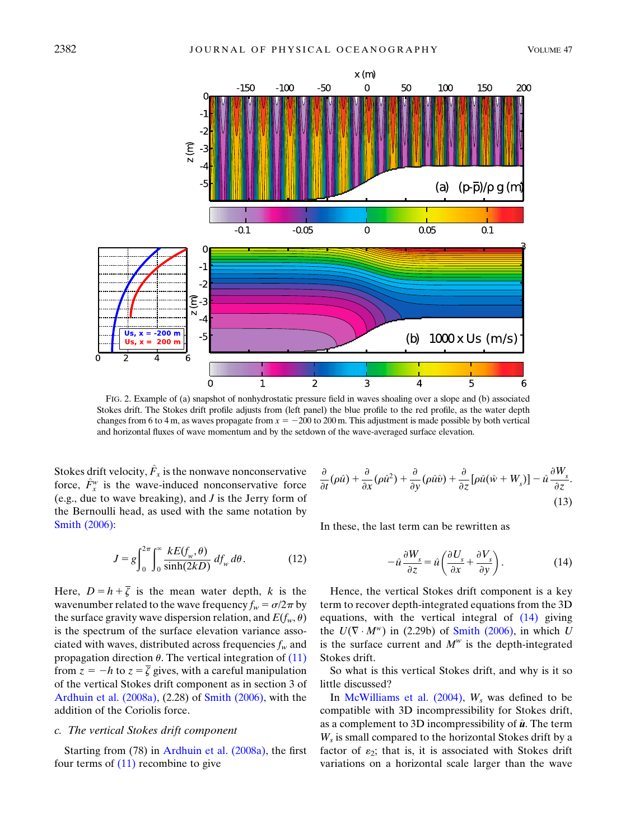<span id="page-5-0"></span>

FIG. 2. Example of (a) snapshot of nonhydrostatic pressure field in waves shoaling over a slope and (b) associated Stokes drift. The Stokes drift profile adjusts from (left panel) the blue profile to the red profile, as the water depth changes from 6 to 4 m, as waves propagate from  $x = -200$  to 200 m. This adjustment is made possible by both vertical and horizontal fluxes of wave momentum and by the setdown of the wave-averaged surface elevation.

Stokes drift velocity,  $\hat{F}_x$  is the nonwave nonconservative force,  $\hat{F}^w_x$  is the wave-induced nonconservative force (e.g., due to wave breaking), and  $J$  is the Jerry form of the Bernoulli head, as used with the same notation by [Smith \(2006\):](#page-8-4)

$$
J = g \int_0^{2\pi} \int_0^{\infty} \frac{kE(f_w, \theta)}{\sinh(2kD)} df_w d\theta.
$$
 (12)

Here,  $D = h + \overline{\zeta}$  is the mean water depth, k is the wavenumber related to the wave frequency  $f_w = \sigma/2\pi$  by the surface gravity wave dispersion relation, and  $E(f_w, \theta)$ is the spectrum of the surface elevation variance associated with waves, distributed across frequencies  $f_w$  and propagation direction  $\theta$ . The vertical integration of [\(11\)](#page-4-1) from  $z = -h$  to  $z = \overline{\zeta}$  gives, with a careful manipulation of the vertical Stokes drift component as in section 3 of [Ardhuin et al. \(2008a\),](#page-7-12) (2.28) of [Smith \(2006\)](#page-8-4), with the addition of the Coriolis force.

### c. The vertical Stokes drift component

Starting from (78) in [Ardhuin et al. \(2008a\)](#page-7-12), the first four terms of  $(11)$  recombine to give

$$
\frac{\partial}{\partial t}(\rho \hat{u}) + \frac{\partial}{\partial x}(\rho \hat{u}^2) + \frac{\partial}{\partial y}(\rho \hat{u}\hat{v}) + \frac{\partial}{\partial z}[\rho \hat{u}(\hat{w} + W_s)] - \hat{u}\frac{\partial W_s}{\partial z}.
$$
\n(13)

<span id="page-5-1"></span>In these, the last term can be rewritten as

$$
-\hat{u}\frac{\partial W_s}{\partial z} = \hat{u}\left(\frac{\partial U_s}{\partial x} + \frac{\partial V_s}{\partial y}\right). \tag{14}
$$

Hence, the vertical Stokes drift component is a key term to recover depth-integrated equations from the 3D equations, with the vertical integral of [\(14\)](#page-5-1) giving the  $U(\nabla \cdot M^w)$  in (2.29b) of [Smith \(2006\)](#page-8-4), in which U is the surface current and  $M^w$  is the depth-integrated Stokes drift.

So what is this vertical Stokes drift, and why is it so little discussed?

In [McWilliams et al. \(2004\)](#page-7-3),  $W_s$  was defined to be compatible with 3D incompressibility for Stokes drift, as a complement to 3D incompressibility of  $\hat{u}$ . The term  $W<sub>s</sub>$  is small compared to the horizontal Stokes drift by a factor of  $\varepsilon_2$ ; that is, it is associated with Stokes drift variations on a horizontal scale larger than the wave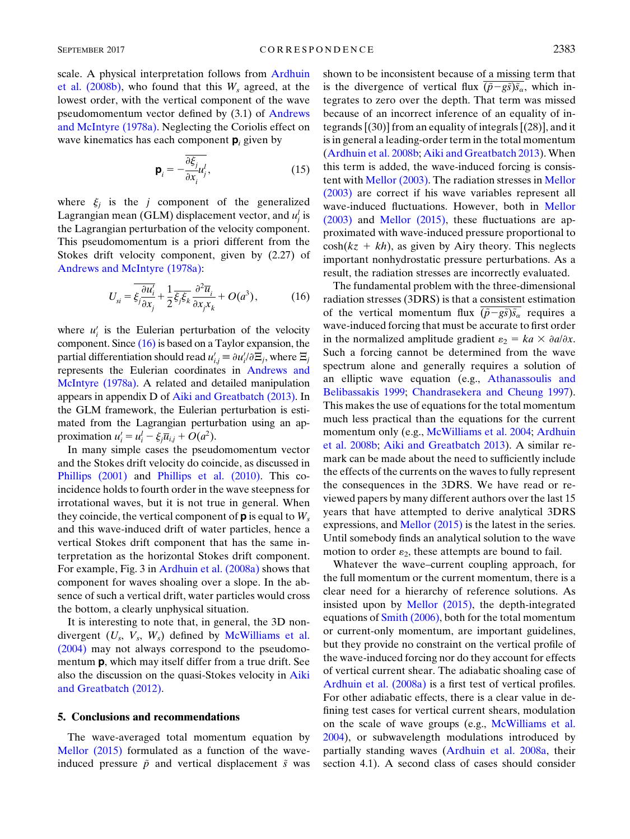scale. A physical interpretation follows from [Ardhuin](#page-7-4) [et al. \(2008b\)](#page-7-4), who found that this  $W_s$  agreed, at the lowest order, with the vertical component of the wave pseudomomentum vector defined by (3.1) of [Andrews](#page-7-0) [and McIntyre \(1978a\)](#page-7-0). Neglecting the Coriolis effect on wave kinematics has each component  $p_i$  given by

$$
\mathbf{p}_i = -\frac{\overline{\partial \xi_j}}{\partial x_i} u_j^l, \tag{15}
$$

where  $\xi_i$  is the j component of the generalized Lagrangian mean (GLM) displacement vector, and  $u_j^l$  is the Lagrangian perturbation of the velocity component. This pseudomomentum is a priori different from the Stokes drift velocity component, given by (2.27) of [Andrews and McIntyre \(1978a\)](#page-7-0):

<span id="page-6-1"></span>
$$
U_{si} = \overline{\xi_j \frac{\partial u_i'}{\partial x_j}} + \frac{1}{2} \overline{\xi_j \xi_k} \frac{\partial^2 \overline{u}_i}{\partial x_j x_k} + O(a^3),\tag{16}
$$

where  $u_i'$  is the Eulerian perturbation of the velocity component. Since [\(16\)](#page-6-1) is based on a Taylor expansion, the partial differentiation should read  $u'_{i,j} \equiv \partial u'_i / \partial \Xi_j$ , where  $\Xi_j$ represents the Eulerian coordinates in [Andrews and](#page-7-0) [McIntyre \(1978a\).](#page-7-0) A related and detailed manipulation appears in appendix D of [Aiki and Greatbatch \(2013\).](#page-7-14) In the GLM framework, the Eulerian perturbation is estimated from the Lagrangian perturbation using an approximation  $u'_i = u^l_i - \xi_j \overline{u}_{i,j} + O(a^2)$ .

In many simple cases the pseudomomentum vector and the Stokes drift velocity do coincide, as discussed in [Phillips \(2001\)](#page-7-32) and [Phillips et al. \(2010\)](#page-7-33). This coincidence holds to fourth order in the wave steepness for irrotational waves, but it is not true in general. When they coincide, the vertical component of  $\mathbf{p}$  is equal to  $W_s$ and this wave-induced drift of water particles, hence a vertical Stokes drift component that has the same interpretation as the horizontal Stokes drift component. For example, Fig. 3 in [Ardhuin et al. \(2008a\)](#page-7-12) shows that component for waves shoaling over a slope. In the absence of such a vertical drift, water particles would cross the bottom, a clearly unphysical situation.

It is interesting to note that, in general, the 3D nondivergent  $(U_s, V_s, W_s)$  defined by [McWilliams et al.](#page-7-3) [\(2004\)](#page-7-3) may not always correspond to the pseudomomentum **p**, which may itself differ from a true drift. See also the discussion on the quasi-Stokes velocity in [Aiki](#page-7-13) [and Greatbatch \(2012\)](#page-7-13).

### <span id="page-6-0"></span>5. Conclusions and recommendations

The wave-averaged total momentum equation by [Mellor \(2015\)](#page-7-15) formulated as a function of the waveinduced pressure  $\tilde{p}$  and vertical displacement  $\tilde{s}$  was shown to be inconsistent because of a missing term that is the divergence of vertical flux  $(\tilde{p}-g\tilde{s})\tilde{s}_{\alpha}$ , which integrates to zero over the depth. That term was missed because of an incorrect inference of an equality of integrands [(30)] from an equality of integrals [(28)], and it is in general a leading-order term in the total momentum ([Ardhuin et al. 2008b;](#page-7-4) [Aiki and Greatbatch 2013\)](#page-7-14). When this term is added, the wave-induced forcing is consistent with [Mellor \(2003\)](#page-7-11). The radiation stresses in [Mellor](#page-7-11) [\(2003\)](#page-7-11) are correct if his wave variables represent all wave-induced fluctuations. However, both in [Mellor](#page-7-11) [\(2003\)](#page-7-11) and [Mellor \(2015\),](#page-7-15) these fluctuations are approximated with wave-induced pressure proportional to  $cosh(kz + kh)$ , as given by Airy theory. This neglects important nonhydrostatic pressure perturbations. As a result, the radiation stresses are incorrectly evaluated.

The fundamental problem with the three-dimensional radiation stresses (3DRS) is that a consistent estimation of the vertical momentum flux  $(\tilde{p}-g\tilde{s})\tilde{s}_{\alpha}$  requires a wave-induced forcing that must be accurate to first order in the normalized amplitude gradient  $\varepsilon_2 = ka \times \partial a/\partial x$ . Such a forcing cannot be determined from the wave spectrum alone and generally requires a solution of an elliptic wave equation (e.g., [Athanassoulis and](#page-7-27) [Belibassakis 1999](#page-7-27); [Chandrasekera and Cheung 1997](#page-7-26)). This makes the use of equations for the total momentum much less practical than the equations for the current momentum only (e.g., [McWilliams et al. 2004;](#page-7-3) [Ardhuin](#page-7-4) [et al. 2008b](#page-7-4); [Aiki and Greatbatch 2013\)](#page-7-14). A similar remark can be made about the need to sufficiently include the effects of the currents on the waves to fully represent the consequences in the 3DRS. We have read or reviewed papers by many different authors over the last 15 years that have attempted to derive analytical 3DRS expressions, and [Mellor \(2015\)](#page-7-15) is the latest in the series. Until somebody finds an analytical solution to the wave motion to order  $\varepsilon_2$ , these attempts are bound to fail.

Whatever the wave–current coupling approach, for the full momentum or the current momentum, there is a clear need for a hierarchy of reference solutions. As insisted upon by [Mellor \(2015\),](#page-7-15) the depth-integrated equations of [Smith \(2006\)](#page-8-4), both for the total momentum or current-only momentum, are important guidelines, but they provide no constraint on the vertical profile of the wave-induced forcing nor do they account for effects of vertical current shear. The adiabatic shoaling case of [Ardhuin et al. \(2008a\)](#page-7-12) is a first test of vertical profiles. For other adiabatic effects, there is a clear value in defining test cases for vertical current shears, modulation on the scale of wave groups (e.g., [McWilliams et al.](#page-7-3) [2004\)](#page-7-3), or subwavelength modulations introduced by partially standing waves ([Ardhuin et al. 2008a,](#page-7-12) their section 4.1). A second class of cases should consider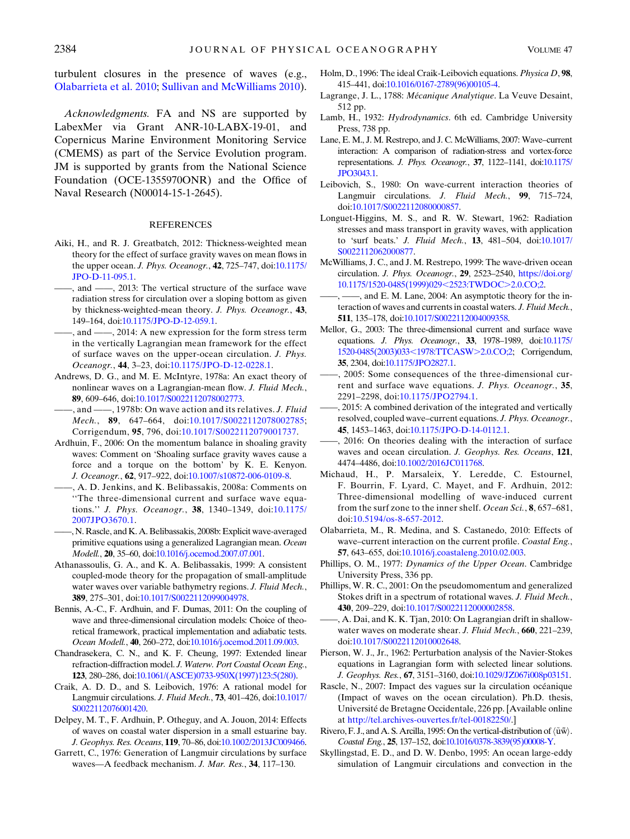turbulent closures in the presence of waves (e.g., [Olabarrieta et al. 2010;](#page-7-34) [Sullivan and McWilliams 2010](#page-8-7)).

Acknowledgments. FA and NS are supported by LabexMer via Grant ANR-10-LABX-19-01, and Copernicus Marine Environment Monitoring Service (CMEMS) as part of the Service Evolution program. JM is supported by grants from the National Science Foundation (OCE-1355970ONR) and the Office of Naval Research (N00014-15-1-2645).

#### REFERENCES

- <span id="page-7-13"></span>Aiki, H., and R. J. Greatbatch, 2012: Thickness-weighted mean theory for the effect of surface gravity waves on mean flows in the upper ocean. J. Phys. Oceanogr., 42, 725–747, doi[:10.1175/](http://dx.doi.org/10.1175/JPO-D-11-095.1) [JPO-D-11-095.1](http://dx.doi.org/10.1175/JPO-D-11-095.1).
- <span id="page-7-14"></span>-, and  $\frac{1}{2013}$ : The vertical structure of the surface wave radiation stress for circulation over a sloping bottom as given by thickness-weighted-mean theory. J. Phys. Oceanogr., 43, 149–164, doi:[10.1175/JPO-D-12-059.1](http://dx.doi.org/10.1175/JPO-D-12-059.1).
- <span id="page-7-5"></span>——, and ——, 2014: A new expression for the form stress term in the vertically Lagrangian mean framework for the effect of surface waves on the upper-ocean circulation. J. Phys. Oceanogr., 44, 3–23, doi[:10.1175/JPO-D-12-0228.1](http://dx.doi.org/10.1175/JPO-D-12-0228.1).
- <span id="page-7-0"></span>Andrews, D. G., and M. E. McIntyre, 1978a: An exact theory of nonlinear waves on a Lagrangian-mean flow. J. Fluid Mech., 89, 609–646, doi[:10.1017/S0022112078002773](http://dx.doi.org/10.1017/S0022112078002773).
- <span id="page-7-29"></span>-, and ——, 1978b: On wave action and its relatives. J. Fluid Mech., 89, 647-664, doi:[10.1017/S0022112078002785](http://dx.doi.org/10.1017/S0022112078002785); Corrigendum, 95, 796, doi[:10.1017/S0022112079001737.](http://dx.doi.org/10.1017/S0022112079001737)
- <span id="page-7-31"></span>Ardhuin, F., 2006: On the momentum balance in shoaling gravity waves: Comment on 'Shoaling surface gravity waves cause a force and a torque on the bottom' by K. E. Kenyon. J. Oceanogr., 62, 917–922, doi:[10.1007/s10872-006-0109-8](http://dx.doi.org/10.1007/s10872-006-0109-8).
- <span id="page-7-12"></span>——, A. D. Jenkins, and K. Belibassakis, 2008a: Comments on ''The three-dimensional current and surface wave equations.'' J. Phys. Oceanogr., 38, 1340–1349, doi[:10.1175/](http://dx.doi.org/10.1175/2007JPO3670.1) [2007JPO3670.1.](http://dx.doi.org/10.1175/2007JPO3670.1)
- <span id="page-7-4"></span>——, N. Rascle, and K. A. Belibassakis, 2008b: Explicit wave-averaged primitive equations using a generalized Lagrangian mean. Ocean Modell., 20, 35–60, doi[:10.1016/j.ocemod.2007.07.001](http://dx.doi.org/10.1016/j.ocemod.2007.07.001).
- <span id="page-7-27"></span>Athanassoulis, G. A., and K. A. Belibassakis, 1999: A consistent coupled-mode theory for the propagation of small-amplitude water waves over variable bathymetry regions. J. Fluid Mech., 389, 275–301, doi[:10.1017/S0022112099004978](http://dx.doi.org/10.1017/S0022112099004978).
- <span id="page-7-7"></span>Bennis, A.-C., F. Ardhuin, and F. Dumas, 2011: On the coupling of wave and three-dimensional circulation models: Choice of theoretical framework, practical implementation and adiabatic tests. Ocean Modell., 40, 260–272, doi[:10.1016/j.ocemod.2011.09.003](http://dx.doi.org/10.1016/j.ocemod.2011.09.003).
- <span id="page-7-26"></span>Chandrasekera, C. N., and K. F. Cheung, 1997: Extended linear refraction-diffraction model. J. Waterw. Port Coastal Ocean Eng., 123, 280–286, doi[:10.1061/\(ASCE\)0733-950X\(1997\)123:5\(280\)](http://dx.doi.org/10.1061/(ASCE)0733-950X(1997)123:5(280)).
- <span id="page-7-1"></span>Craik, A. D. D., and S. Leibovich, 1976: A rational model for Langmuir circulations. J. Fluid Mech., 73, 401–426, doi:[10.1017/](http://dx.doi.org/10.1017/S0022112076001420) [S0022112076001420](http://dx.doi.org/10.1017/S0022112076001420).
- <span id="page-7-9"></span>Delpey, M. T., F. Ardhuin, P. Otheguy, and A. Jouon, 2014: Effects of waves on coastal water dispersion in a small estuarine bay. J. Geophys. Res. Oceans, 119, 70–86, doi[:10.1002/2013JC009466](http://dx.doi.org/10.1002/2013JC009466).
- <span id="page-7-18"></span>Garrett, C., 1976: Generation of Langmuir circulations by surface waves—A feedback mechanism. J. Mar. Res., 34, 117–130.
- <span id="page-7-10"></span>Holm, D., 1996: The ideal Craik-Leibovich equations. Physica D, 98, 415–441, doi[:10.1016/0167-2789\(96\)00105-4](http://dx.doi.org/10.1016/0167-2789(96)00105-4).
- <span id="page-7-22"></span>Lagrange, J. L., 1788: Mécanique Analytique. La Veuve Desaint, 512 pp.
- <span id="page-7-23"></span>Lamb, H., 1932: Hydrodynamics. 6th ed. Cambridge University Press, 738 pp.
- <span id="page-7-30"></span>Lane, E. M., J. M. Restrepo, and J. C. McWilliams, 2007: Wave–current interaction: A comparison of radiation-stress and vortex-force representations. J. Phys. Oceanogr., 37, 1122–1141, doi[:10.1175/](http://dx.doi.org/10.1175/JPO3043.1) [JPO3043.1](http://dx.doi.org/10.1175/JPO3043.1).
- <span id="page-7-2"></span>Leibovich, S., 1980: On wave-current interaction theories of Langmuir circulations. J. Fluid Mech., 99, 715–724, doi[:10.1017/S0022112080000857](http://dx.doi.org/10.1017/S0022112080000857).
- <span id="page-7-17"></span>Longuet-Higgins, M. S., and R. W. Stewart, 1962: Radiation stresses and mass transport in gravity waves, with application to 'surf beats.' J. Fluid Mech., 13, 481–504, doi[:10.1017/](http://dx.doi.org/10.1017/S0022112062000877) [S0022112062000877.](http://dx.doi.org/10.1017/S0022112062000877)
- <span id="page-7-28"></span><span id="page-7-3"></span>McWilliams, J. C., and J. M. Restrepo, 1999: The wave-driven ocean circulation. J. Phys. Oceanogr., 29, 2523–2540, [https://doi.org/](http://dx.doi.org/https://doi.org/10.1175/1520-0485(1999)029<2523:TWDOC>2.0.CO;2) [10.1175/1520-0485\(1999\)029](http://dx.doi.org/https://doi.org/10.1175/1520-0485(1999)029<2523:TWDOC>2.0.CO;2)<2523:TWDOC>2.0.CO;2.
	- -, and E. M. Lane, 2004: An asymptotic theory for the interaction of waves and currents in coastal waters. J. Fluid Mech., 511, 135–178, doi:[10.1017/S0022112004009358](http://dx.doi.org/10.1017/S0022112004009358).
- <span id="page-7-11"></span>Mellor, G., 2003: The three-dimensional current and surface wave equations. *J. Phys. Oceanogr.*, 33, 1978–1989, doi:[10.1175/](http://dx.doi.org/10.1175/1520-0485(2003)033<1978:TTCASW>2.0.CO;2) [1520-0485\(2003\)033](http://dx.doi.org/10.1175/1520-0485(2003)033<1978:TTCASW>2.0.CO;2)<1978:TTCASW>2.0.CO;2; Corrigendum, 35, 2304, doi[:10.1175/JPO2827.1](http://dx.doi.org/10.1175/JPO2827.1).
- <span id="page-7-25"></span>——, 2005: Some consequences of the three-dimensional current and surface wave equations. J. Phys. Oceanogr., 35, 2291–2298, doi:[10.1175/JPO2794.1](http://dx.doi.org/10.1175/JPO2794.1).
- <span id="page-7-15"></span>——, 2015: A combined derivation of the integrated and vertically resolved, coupled wave–current equations. J. Phys. Oceanogr., 45, 1453–1463, doi[:10.1175/JPO-D-14-0112.1.](http://dx.doi.org/10.1175/JPO-D-14-0112.1)
- <span id="page-7-16"></span>2016: On theories dealing with the interaction of surface waves and ocean circulation. J. Geophys. Res. Oceans, 121, 4474–4486, doi:[10.1002/2016JC011768](http://dx.doi.org/10.1002/2016JC011768).
- <span id="page-7-8"></span>Michaud, H., P. Marsaleix, Y. Leredde, C. Estournel, F. Bourrin, F. Lyard, C. Mayet, and F. Ardhuin, 2012: Three-dimensional modelling of wave-induced current from the surf zone to the inner shelf. Ocean Sci., 8, 657–681, doi:[10.5194/os-8-657-2012](http://dx.doi.org/10.5194/os-8-657-2012).
- <span id="page-7-34"></span>Olabarrieta, M., R. Medina, and S. Castanedo, 2010: Effects of wave–current interaction on the current profile. Coastal Eng., 57, 643–655, doi[:10.1016/j.coastaleng.2010.02.003](http://dx.doi.org/10.1016/j.coastaleng.2010.02.003).
- <span id="page-7-19"></span>Phillips, O. M., 1977: Dynamics of the Upper Ocean. Cambridge University Press, 336 pp.
- <span id="page-7-32"></span>Phillips, W. R. C., 2001: On the pseudomomentum and generalized Stokes drift in a spectrum of rotational waves. J. Fluid Mech., 430, 209–229, doi[:10.1017/S0022112000002858](http://dx.doi.org/10.1017/S0022112000002858).
- <span id="page-7-33"></span>——, A. Dai, and K. K. Tjan, 2010: On Lagrangian drift in shallowwater waves on moderate shear. J. Fluid Mech., 660, 221–239, doi[:10.1017/S0022112010002648](http://dx.doi.org/10.1017/S0022112010002648).
- <span id="page-7-24"></span>Pierson, W. J., Jr., 1962: Perturbation analysis of the Navier-Stokes equations in Lagrangian form with selected linear solutions. J. Geophys. Res., 67, 3151–3160, doi[:10.1029/JZ067i008p03151](http://dx.doi.org/10.1029/JZ067i008p03151).
- <span id="page-7-6"></span>Rascle, N., 2007: Impact des vagues sur la circulation océanique (Impact of waves on the ocean circulation). Ph.D. thesis, Université de Bretagne Occidentale, 226 pp. [Available online at <http://tel.archives-ouvertes.fr/tel-00182250/>.]
- <span id="page-7-20"></span>Rivero, F. J., and A. S. Arcilla, 1995: On the vertical-distribution of  $\langle \tilde{u} \tilde{w} \rangle$ . Coastal Eng., 25, 137-152, doi[:10.1016/0378-3839\(95\)00008-Y](http://dx.doi.org/10.1016/0378-3839(95)00008-Y).
- <span id="page-7-21"></span>Skyllingstad, E. D., and D. W. Denbo, 1995: An ocean large-eddy simulation of Langmuir circulations and convection in the